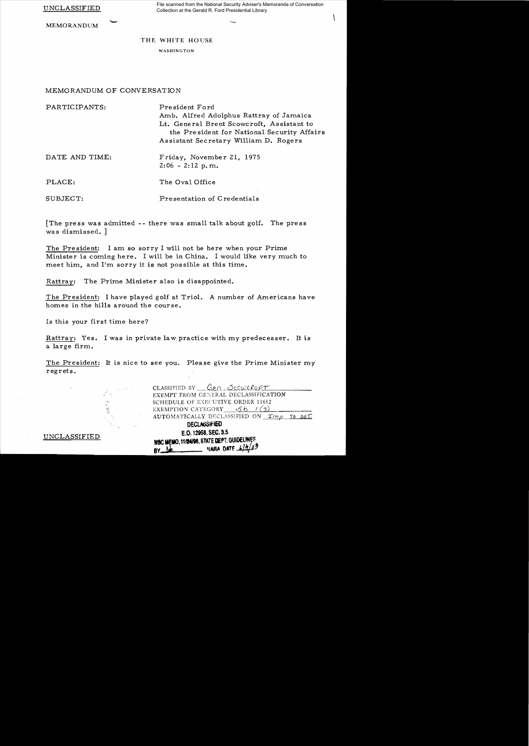UNCLASSIFIED

File scanned from the National Security Adviser's Memoranda of Conversation Collection at the Gerald R. Ford Presidential Library

 $\mathcal{L}$ 

MEMORANDUM

## THE WHITE HOUSE

WASHINGTON

## MEMORANDUM OF CONVERSATION

| PARTICIPANTS:  | President Ford                              |
|----------------|---------------------------------------------|
|                | Amb. Alfred Adolphus Rattray of Jamaica     |
|                | Lt. General Brent Scowcroft, Assistant to   |
|                | the President for National Security Affairs |
|                | Assistant Secretary William D. Rogers       |
| DATE AND TIME: | Friday, November 21, 1975                   |
|                | $2:06 - 2:12$ p.m.                          |
| PLACE:         | The Oval Office                             |
|                |                                             |
| SUBJECT:       | Presentation of Credentials                 |

[The press was admitted -- there was small talk about golf. The press was dismissed. ]

The President: I am so sorry I will not be here when your Prime Minister is coming here. I will be in China. I would like very much to meet him, and I'm sorry it is not possible at this time.

Rattray: The Prime Minister also is disappointed.

The President: I have played golf at Triol. A number of Americans have homes in the hills around the course.

Is this your first time here?

Rattray: Yes. I was in private law practice with my predecesser. It is a large firm.

The President: It is nice to see you. Please give the Prime Minister my regrets.



CLASSIFIED BY <u>Gen.</u> Scowcroft EXEMPT FROM GENERAL DECLASSIFICATION SCHEDULE OF EXECUTIVE ORDER 11652 EXEMPTION CATEGORY  $5b/(3)$ AUTOMATICALLY DECLASSIFIED ON  $\text{Im}\rho$  to bet. **DECLASSIFIED** E.O. 12958, SEC. 3.5<br>
MSC MEMO, 11/24/98, STATE DEPT. GUIDELINES ftCueMO.11"', SlATE DE'T. GUI~J~: **BV....lJL** ~ARA DATE ,